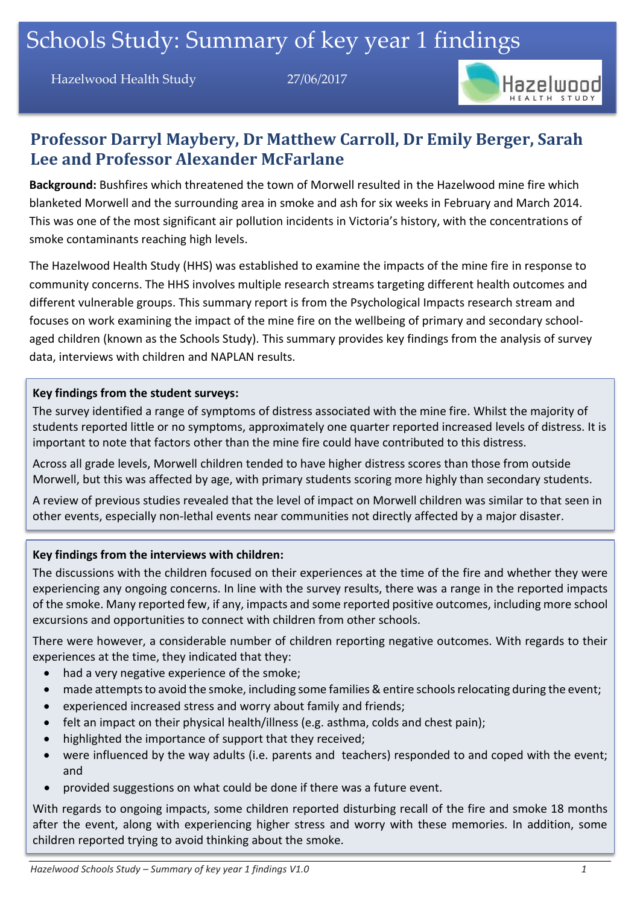Hazelwood Health Study 27/06/2017



## **Professor Darryl Maybery, Dr Matthew Carroll, Dr Emily Berger, Sarah Lee and Professor Alexander McFarlane**

**Background:** Bushfires which threatened the town of Morwell resulted in the Hazelwood mine fire which blanketed Morwell and the surrounding area in smoke and ash for six weeks in February and March 2014. This was one of the most significant air pollution incidents in Victoria's history, with the concentrations of smoke contaminants reaching high levels.

The Hazelwood Health Study (HHS) was established to examine the impacts of the mine fire in response to community concerns. The HHS involves multiple research streams targeting different health outcomes and different vulnerable groups. This summary report is from the Psychological Impacts research stream and focuses on work examining the impact of the mine fire on the wellbeing of primary and secondary schoolaged children (known as the Schools Study). This summary provides key findings from the analysis of survey data, interviews with children and NAPLAN results.

#### **Key findings from the student surveys:**

The survey identified a range of symptoms of distress associated with the mine fire. Whilst the majority of students reported little or no symptoms, approximately one quarter reported increased levels of distress. It is important to note that factors other than the mine fire could have contributed to this distress.

Across all grade levels, Morwell children tended to have higher distress scores than those from outside Morwell, but this was affected by age, with primary students scoring more highly than secondary students.

A review of previous studies revealed that the level of impact on Morwell children was similar to that seen in other events, especially non-lethal events near communities not directly affected by a major disaster.

#### **Key findings from the interviews with children:**

The discussions with the children focused on their experiences at the time of the fire and whether they were experiencing any ongoing concerns. In line with the survey results, there was a range in the reported impacts of the smoke. Many reported few, if any, impacts and some reported positive outcomes, including more school excursions and opportunities to connect with children from other schools.

There were however, a considerable number of children reporting negative outcomes. With regards to their experiences at the time, they indicated that they:

- had a very negative experience of the smoke;
- made attempts to avoid the smoke, including some families & entire schools relocating during the event;
- experienced increased stress and worry about family and friends;
- felt an impact on their physical health/illness (e.g. asthma, colds and chest pain);
- highlighted the importance of support that they received;
- were influenced by the way adults (i.e. parents and teachers) responded to and coped with the event; and
- provided suggestions on what could be done if there was a future event.

With regards to ongoing impacts, some children reported disturbing recall of the fire and smoke 18 months after the event, along with experiencing higher stress and worry with these memories. In addition, some children reported trying to avoid thinking about the smoke.